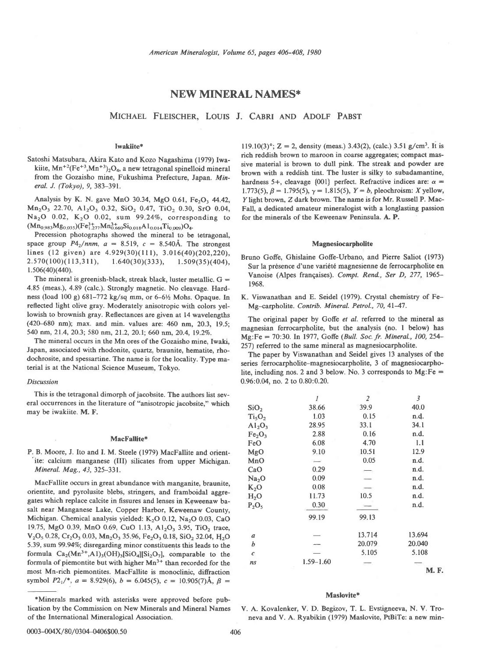# NEW MINERAL NAMES\*

MICHAEL FLEISCHER, LOUIS J. CABRI AND ADOLF PABST

## Iwakiite\*

Satoshi Matsubara, Akira Kato and Kozo Nagashima (1979) Iwakiite,  $Mn^{+2}(Fe^{+3}, Mn^{+3})$ <sub>2</sub>O<sub>4</sub>, a new tetragonal spinelloid mineral from the Gozaisho mine, Fukushima Prefecture, Japan. Mineral. J. (Tokyo), 9, 383-391.

Analysis by K. N. gave MnO 30.34, MgO 0.61, Fe<sub>2</sub>O<sub>3</sub> 44.42,  $Mn<sub>2</sub>O<sub>3</sub>$  22.70,  $A1<sub>2</sub>O<sub>3</sub>$  0.32, SiO<sub>2</sub> 0.47, TiO<sub>2</sub> 0.30, SrO 0.04,  $Na<sub>2</sub>O$  0.02,  $K<sub>2</sub>O$  0.02, sum 99.24%, corresponding to  $(Mn_{0.983}Mg_{0.035})(Fe^{3+}_{1.277}Mn_{0.660}^{3+}Si_{0.018}Al_{0.014}Ti_{0.009})O_4.$ 

Precession photographs showed the mineral to be tetragonal, space group  $P4<sub>2</sub>/nm$ ,  $a = 8.519$ ,  $c = 8.540\text{\AA}$ . The strongest lines (12 given) are  $4.929(30)(111)$ ,  $3.016(40)(202,220)$ ,  $2.570(100)(113,311), \quad 1.640(30)(333), \quad 1.509(35)(404),$  $1.506(40)(440)$ .

The mineral is greenish-black, streak black, luster metallic.  $G =$ 4.85 (meas.), 4.89 (calc.). Strongly magnetic. No cleavage. Hardness (load 100 g) 681-772 kg/sq mm, or 6-6½ Mohs. Opaque. In reflected light olive gray. Moderately anisotropic with colors yellowish to brownish gray. Reflectances are given at 14 wavelengths (420-680 nm); max. and min. values are: 460 nm, 20.3, 19.5; 540 nm, 21.4,2O.3;580 nm, 21.2,2O.1;660 nm, 20.4, 19.27o.

The mineral occurs in the Mn ores of the Gozaisho mine. Iwaki. Japan, associated with rhodonite, quartz, braunite, hematite, rhodochrosite, and spessartine. The name is for the locality. Type material is at the National Science Museum, Tokvo.

## Discussion

This is the tetragonal dimorph of jacobsite. The authors list several occurrences in the literature of "anisotropic jacobsite," which may be iwakiite. M. F.

### MacFallite\*

P. B. Moore, J. Ito and I. M. Steele (1979) MacFallite and orientite: calcium manganese (III) silicates from upper Michigan. Mineral. Mag., 43, 325-331.

MacFallite occurs in great abundance with manganite, braunite, orientite, and pyrolusite blebs, stringers, and framboidal aggregates which replace calcite in fissures and lenses in Keweenaw basalt near Manganese Lake, Copper Harbor, Keweenaw County, Michigan. Chemical analysis yielded:  $K_2O$  0.12, Na<sub>2</sub>O 0.03, CaO 19.75, MgO 0.39, MnO 0.69, CuO 1.13, A1<sub>2</sub>O<sub>3</sub> 3.95, TiO<sub>2</sub> trace,  $V_2O_5$  0.28, Cr<sub>2</sub>O<sub>3</sub> 0.03, Mn<sub>2</sub>O<sub>3</sub> 35.96, Fe<sub>2</sub>O<sub>3</sub> 0.18, SiO<sub>2</sub> 32.04, H<sub>2</sub>O 5.39, sum 99.94%; disregarding minor constituents this leads to the formula  $Ca_2(Mn^{3+}, A1)_3(OH)_3[SiO_4][Si_2O_7]$ , comparable to the formula of piemontite but with higher  $Mn^{3+}$  than recorded for the most Mn-rich piemontites. MacFallite is monoclinic, diffraction symbol  $P2_1$ <sup>\*</sup>,  $a = 8.929(6)$ ,  $b = 6.045(5)$ ,  $c = 10.905(7)$ Å,  $\beta =$ 

119.10(3)°; Z = 2, density (meas.) 3.43(2), (calc.) 3.51 g/cm<sup>3</sup>. It is rich reddish brown to maroon in coarse aggregates; compact massive material is brown to dull pink. The streak and powder are brown with a reddish tint. The luster is silky to subadamantine, hardness 5+, cleavage {001} perfect. Refractive indices are:  $\alpha$  = 1.773(5),  $\beta = 1.795(5)$ ,  $\gamma = 1.815(5)$ ,  $Y = b$ , pleochroism: X yellow, Y light brown, Z dark brown. The name is for Mr. Russell P. Mac-Fall, a dedicated amateur mineralogist with a longlasting passion for the minerals of the Keweenaw Peninsula. A. P.

## Magnesiocarpholite

- Bruno Gofe, Ghislaine Goffe-Urbano, and Pierre Saliot (1973) Sur la présence d'une variété magnesienne de ferrocarpholite en Vanoise (Alpes frangaises). Compt. Rend., Ser D, 277, 1965- 1968.
- K. Viswanathan and E. Seidel (1979). Crystal chemistry of Fe-Mg-carpholite. Contrib. Mineral. Petrol., 70, 41-47.

The original paper by Goffe et al. referred to the mineral as magnesian ferrocarpholite, but the analysis (no. I below) has Mg:Fe = 70:30. In 1977, Goffe (Bull. Soc. fr. Mineral., 100, 254-257) referred to the same mineral as magnesiocarpholite.

The paper by Viswanathan and Seidel gives 13 analyses of the series ferrocarpholite-magnesiocarpholite, 3 of magnesiocarpholite, including nos. 2 and 3 below. No. 3 corresponds to  $Mg:Fe =$ 0.96:0.M. no. 2 to 0.80:0.20.

|                                | 1             | $\overline{z}$ | $\mathfrak{Z}$ |
|--------------------------------|---------------|----------------|----------------|
| SiO <sub>2</sub>               | 38.66         | 39.9           | 40.0           |
| Ti <sub>5</sub> O <sub>2</sub> | 1.03          | 0.15           | n.d.           |
| $Al_2O_3$                      | 28.95         | 33.1           | 34.1           |
| Fe <sub>2</sub> O <sub>3</sub> | 2.88          | 0.16           | n.d.           |
| FeO                            | 6.08          | 4.70           | 1.1            |
| MgO                            | 9.10          | 10.51          | 12.9           |
| MnO                            |               | 0.05           | n.d.           |
| CaO                            | 0.29          |                | n.d.           |
| Na <sub>2</sub> O              | 0.09          |                | n.d.           |
| $K_2O$                         | 0.08          |                | n.d.           |
| H <sub>2</sub> O               | 11.73         | 10.5           | n.d.           |
| $P_2O_5$                       | 0.30          |                | n.d.           |
|                                | 99.19         | 99.13          |                |
| $\boldsymbol{a}$               |               | 13.714         | 13.694         |
| b                              |               | 20.079         | 20.040         |
| $\pmb{c}$                      |               | 5.105          | 5.108          |
| ns                             | $1.59 - 1.60$ |                |                |
|                                |               |                | M.             |

## Maslovite\*

 $\mathbf{F}$ .

V. A. Kovalenker, V. D. Begizov, T. L. Evstigneeva, N. V. Troneva and V. A. Ryabikin (1979) Maslovite, PtBiTe: a new min-

<sup>\*</sup>Minerals marked with asterisks were approved before publication by the Commission on New Minerals and Mineral Names of the International Mineralogical Association.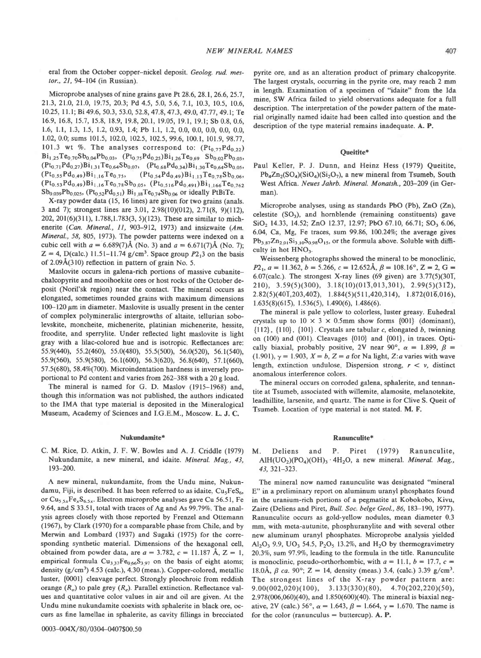eral from the October copper-nickel deposit. Geolog. rud. mestor., 21, 94-104 (in Russian).

Microprobe analyses of nine grains gave Pt 28.6, 28.1, 26.6, 25.7, 21.3, 21.0, 21.0, 19.75, 20.3; Pd 4.5, 5.0, 5.6, 7.1, 10.3, 10.5, 10.6, 10.25, 11.1; Bi 49.6, 50.3, 53.0, 52.8, 47.8, 47.3, 49.0, 47.77, 49.1; Te 16.9, 16.8, 15.7, 15.8, 18.9, 19.8, 20.1, 19.05, 19.1, 19.1; Sb 0.8, 0.6, 1.6, 1.1, 1.3, 1.5, 1.2, 0.93, 1.4; Pb 1.1, 1.2, 0.0, 0.0, 0.0, 0.0, 0.0, 0.0, 1.02, 0.0; sums 101.5, 102.0, 102.5, 102.5, 99.6, 100.1, 101.9, 98.77, 101.3 wt %. The analyses correspond to:  $(Pt_{0.77}Pd_{0.22})$  $Bi_{1,25}Te_{0,70}Sb_{0,04}Pb_{0,03}$ ,  $(Pt_{0,75}Pd_{0,25})Bi_{1,26}Te_{0,69}Sb_{0,02}Pb_{0,03}$ ,  $(Pt_{0,71}Pd_{0,27})Bi_{1,31}Te_{0,64}Sb_{0,07}$ ,  $(Pt_{0,68}Pd_{0,34})Bi_{1,30}Te_{0,64}Sb_{0,05}$ ,  $(Pt_{0.55}Pd_{0.49})Bi_{1.16}Te_{0.75}$ ,  $(Pt_{0.54}Pd_{0.49})Bi_{1.13}Te_{0.78}Sb_{0.06}$  $(Pt_{0.53}Pd_{0.49})Bi_{1.16}Te_{0.78}Sb_{0.05}$ ,  $(Pt_{0.516}Pd_{0.491})Bi_{1.166}Te_{0.762}$  $Sb_{0.039}Pb_{0.025}$ , (Pt<sub>0.52</sub>Pd<sub>0.51</sub>) Bi<sub>1.18</sub>Te<sub>0.74</sub>Sb<sub>0.06</sub> or ideally PtBiTe.

X-ray powder data (15, 16 lines) are given for two grains (anals. 3 and 7); strongest lines are 3.01, 2.98(10)(012), 2.71(8, 9)(112), 202, 201(6)(311), 1.788, 1.783(3, 5)(123). These are similar to michenerite (Can. Mineral., 11, 903-912, 1973) and insizwaite (Am. Mineral., 58, 805, 1973). The powder patterns were indexed on a cubic cell with  $a = 6.689(7)$ Å (No. 3) and  $a = 6.671(7)$ Å (No. 7);  $Z = 4$ , D(calc.) 11.51–11.74 g/cm<sup>3</sup>. Space group  $P2<sub>1</sub>3$  on the basis of  $2.09\text{\AA}(310)$  reflection in pattern of grain No. 5.

Maslovite occurs in galena-rich portions of massive cubanitechalcopyrite and mooihoekite ores or host rocks of the October deposit (Noril'sk region) near the contact. The mineral occurs as elongated, sometimes rounded grains with maximum dimensions  $100-120 \mu m$  in diameter. Maslovite is usually present in the center of complex polymineralic intergrowths of altaite, tellurian sobolevskite, moncheite, michenerite, platinian michenerite, hessite, froodite, and sperrylite. Under reflected light maslovite is light gray with a lilac-colored hue and is isotropic. Reflectances are: 55.9(440), 55.2(460), 55.0(480), 55.5(500), 56.0(520), 56.1(540), 55.9(560), 55.9(580), 56.1(600), 56.3(620), 56.8(640), 57.1(660), 57.5(680), 58.4%(700). Microindentation hardness is inversely proportional to Pd content and varies from 262-388 with a 20 g load.

The mineral is named for G. D. Maslov (1915-1968) and, though this information was not published, the authors indicated to the IMA that type material is deposited in the Mineralogical Museum, Academy of Sciences and I.G.E.M., Moscow. L. J. C.

### Nukundamite\*

C. M. Rice, D. Atkin, J. F. W. Bowles and A. J. Criddle (1979) Nukundamite, a new mineral, and idaite. Mineral. Mag., 43,  $193 - 200$ 

A new mineral, nukundamite, from the Undu mine, Nukundamu, Fiji, is described. It has been referred to as idaite, Cu<sub>s</sub>FeS<sub>6</sub>, or  $Cu_{5.5x}Fe_{x}S_{6.5x}$ . Electron microprobe analyses gave Cu 56.51, Fe 9.64, and S 33.51, total with traces of Ag and As 99.79%. The analysis agrees closely with those reported by Frenzel and Ottemann (1967), by Clark (1970) for a comparable phase from Chile, and by Merwin and Lombard (1937) and Sugaki (1975) for the corresponding synthetic material. Dimensions of the hexagonal cell, obtained from powder data, are  $a = 3.782$ ,  $c = 11.187$  Å,  $Z = 1$ , empirical formula  $Cu_{3,37}Fe_{0,66}S_{3,97}$  on the basis of eight atoms; density  $(g/cm<sup>3</sup>)$  4.53 (calc.), 4.30 (meas.). Copper-colored, metallic luster, {0001} cleavage perfect. Strongly pleochroic from reddish orange  $(R<sub>a</sub>)$  to pale grey  $(R<sub>a</sub>)$ . Parallel extinction. Reflectance values and quantitative color values in air and oil are given. At the Undu mine nukundamite coexists with sphalerite in black ore, occurs as fine lamellae in sphalerite, as cavity fillings in brecciated

pyrite ore, and as an alteration product of primary chalcopyrite. The largest crystals, occurring in the pyrite ore, may reach 2 mm in length. Examination of a specimen of "idaite" from the Ida mine, SW Africa failed to yield observations adequate for a full description. The interpretation of the powder pattern of the material originally named idaite had been called into question and the description of the type material remains inadequate. A. P.

### Oueitite\*

Paul Keller, P. J. Dunn, and Heinz Hess (1979) Queitite,  $Pb_4Zn_2(SO_4)(SiO_4)(Si_2O_7)$ , a new mineral from Tsumeb, South West Africa. Neues Jahrb. Mineral. Monatsh., 203-209 (in German).

Microprobe analyses, using as standards PbO (Pb), ZnO (Zn), celestite  $(SO<sub>3</sub>)$ , and hornblende (remaining constituents) gave SiO<sub>2</sub> 14.33, 14.52; ZnO 12.37, 12.97; PbO 67.10, 66.71; SO<sub>3</sub> 6.06, 6.04, Ca, Mg, Fe traces, sum 99.86, 100.24%; the average gives  $Pb_{3.87}Zn_{2.01}Si_{3.10}S_{0.98}O_{15}$ , or the formula above. Soluble with difficulty in hot  $HNO<sub>3</sub>$ .

Weissenberg photographs showed the mineral to be monoclinic,  $P2_1$ ,  $a = 11.362$ ,  $b = 5.266$ ,  $c = 12.652$ Å,  $\beta = 108.16$ °,  $Z = 2$ ,  $G =$ 6.07(calc.). The strongest X-ray lines (69 given) are  $3.77(5)(30\bar{1},$ 210), 3.59(5)(300), 3.18(10)(013,013,301), 2.99(5)(312),  $2.82(5)(40\overline{1},203,40\overline{2}), 1.884(5)(511,420,314), 1.872(01\overline{6},016),$  $1.635(8)(61\overline{5})$ ,  $1.536(5)$ ,  $1.490(6)$ ,  $1.486(6)$ .

The mineral is pale vellow to colorless, luster greasy. Euhedral crystals up to  $10 \times 3 \times 0.5$ mm show forms  $\{001\}$  (dominant).  $\{112\}, \{110\}, \{101\}.$  Crystals are tabular c, elongated b, twinning on  $(100)$  and  $(001)$ . Cleavages  $\{010\}$  and  $\{001\}$ , in traces. Optically biaxial, probably positive, 2V near 90°,  $\alpha = 1.899$ ,  $\beta =$  $(1.901)$ ,  $\gamma = 1.903$ ,  $X = b$ ,  $Z = a$  for Na light, Z:*a* varies with wave length, extinction undulose. Dispersion strong,  $r < v$ , distinct anomalous interference colors.

The mineral occurs on corroded galena, sphalerite, and tennantite at Tsumeb, associated with willemite, alamosite, melanotekite, leadhillite, larsenite, and quartz. The name is for Clive S. Queit of Tsumeb. Location of type material is not stated. M. F.

### Ranunculite\*

 $P_{\rm c}$ Piret (1979) M. Deliens and Ranunculite.  $AIH(UO<sub>2</sub>)(PO<sub>4</sub>)(OH)<sub>3</sub> · 4H<sub>2</sub>O$ , a new mineral. *Mineral. Mag.*, 43, 321-323.

The mineral now named ranunculite was designated "mineral E" in a preliminary report on aluminum uranyl phosphates found in the uranium-rich portions of a pegmatite at Kobokobo, Kivu, Zaire (Deliens and Piret, Bull. Soc. belge Geol., 86, 183-190, 1977). Ranunculite occurs as gold-yellow nodules, mean diameter 0.3 mm, with meta-autunite, phosphuranylite and with several other new aluminum uranyl phosphates. Microprobe analysis yielded  $Al_2O_3$  9.9, UO<sub>3</sub> 54.5, P<sub>2</sub>O<sub>5</sub> 13.2%, and H<sub>2</sub>O by thermogravimetry 20.3%, sum 97.9%, leading to the formula in the title. Ranunculite is monoclinic, pseudo-orthorhombic, with  $a = 11.1$ ,  $b = 17.7$ ,  $c =$ 18.0Å,  $\beta$  ca. 90°; Z = 14, density (meas.) 3.4, (calc.) 3.39 g/cm<sup>3</sup>. The strongest lines of the X-ray powder pattern are:  $9.00(002,020)(100), 3.133(330)(80), 4.70(202,220)(50),$ 2.978(006,060)(40), and 1.850(600)(40). The mineral is biaxial negative, 2V (calc.) 56°,  $\alpha = 1.643$ ,  $\beta = 1.664$ ,  $\gamma = 1.670$ . The name is for the color (ranunculus  $=$  buttercup). A. P.